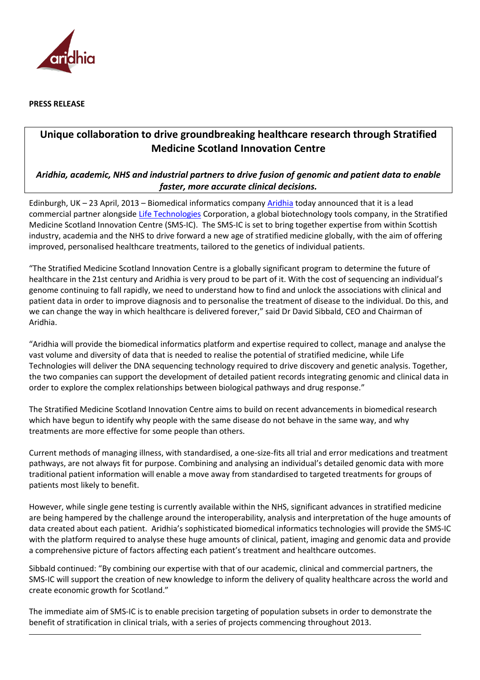

**PRESS RELEASE**

## **Unique collaboration to drive groundbreaking healthcare research through Stratified Medicine Scotland Innovation Centre**

## *Aridhia, academic, NHS and industrial partners to drive fusion of genomic and patient data to enable faster, more accurate clinical decisions.*

Edinburgh, UK – 23 April, 2013 – Biomedical informatics company [Aridhia](http://www.aridhia.com/) today announced that it is a lead commercial partner alongside [Life Technologies](http://www.lifetechnologies.com/us/en/home.html) Corporation, a global biotechnology tools company, in the Stratified Medicine Scotland Innovation Centre (SMS-IC). The SMS-IC is set to bring together expertise from within Scottish industry, academia and the NHS to drive forward a new age of stratified medicine globally, with the aim of offering improved, personalised healthcare treatments, tailored to the genetics of individual patients.

"The Stratified Medicine Scotland Innovation Centre is a globally significant program to determine the future of healthcare in the 21st century and Aridhia is very proud to be part of it. With the cost of sequencing an individual's genome continuing to fall rapidly, we need to understand how to find and unlock the associations with clinical and patient data in order to improve diagnosis and to personalise the treatment of disease to the individual. Do this, and we can change the way in which healthcare is delivered forever," said Dr David Sibbald, CEO and Chairman of Aridhia.

"Aridhia will provide the biomedical informatics platform and expertise required to collect, manage and analyse the vast volume and diversity of data that is needed to realise the potential of stratified medicine, while Life Technologies will deliver the DNA sequencing technology required to drive discovery and genetic analysis. Together, the two companies can support the development of detailed patient records integrating genomic and clinical data in order to explore the complex relationships between biological pathways and drug response."

The Stratified Medicine Scotland Innovation Centre aims to build on recent advancements in biomedical research which have begun to identify why people with the same disease do not behave in the same way, and why treatments are more effective for some people than others.

Current methods of managing illness, with standardised, a one-size-fits all trial and error medications and treatment pathways, are not always fit for purpose. Combining and analysing an individual's detailed genomic data with more traditional patient information will enable a move away from standardised to targeted treatments for groups of patients most likely to benefit.

However, while single gene testing is currently available within the NHS, significant advances in stratified medicine are being hampered by the challenge around the interoperability, analysis and interpretation of the huge amounts of data created about each patient. Aridhia's sophisticated biomedical informatics technologies will provide the SMS-IC with the platform required to analyse these huge amounts of clinical, patient, imaging and genomic data and provide a comprehensive picture of factors affecting each patient's treatment and healthcare outcomes.

Sibbald continued: "By combining our expertise with that of our academic, clinical and commercial partners, the SMS-IC will support the creation of new knowledge to inform the delivery of quality healthcare across the world and create economic growth for Scotland."

The immediate aim of SMS-IC is to enable precision targeting of population subsets in order to demonstrate the benefit of stratification in clinical trials, with a series of projects commencing throughout 2013.